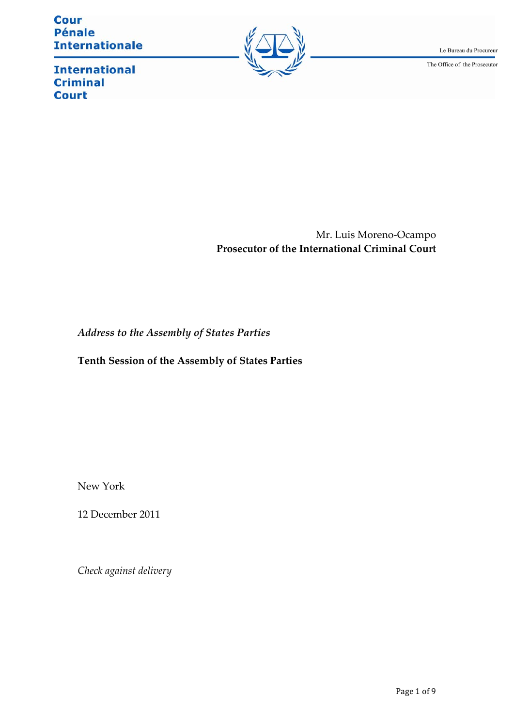**Cour Pénale Internationale** 



Le Bureau du Procureur

The Office of the Prosecutor

**International Criminal Court** 

> Mr. Luis Moreno-Ocampo **Prosecutor of the International Criminal Court**

*Address to the Assembly of States Parties*

**Tenth Session of the Assembly of States Partiesȱȱ**

New York

12 December 2011

*Check against delivery*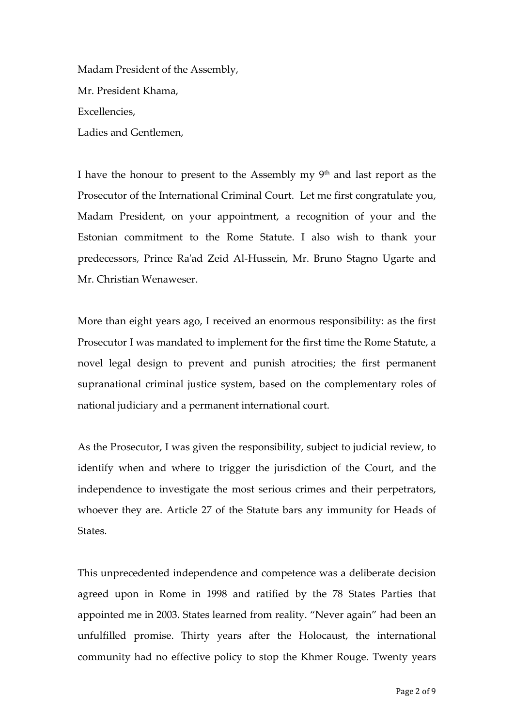Madam President of the Assembly, Mr. President Khama, Excellencies. Ladies and Gentlemen,

I have the honour to present to the Assembly my  $9<sup>th</sup>$  and last report as the Prosecutor of the International Criminal Court. Let me first congratulate you, Madam President, on your appointment, a recognition of your and the Estonian commitment to the Rome Statute. I also wish to thank your predecessors, Prince Ra'ad Zeid Al-Hussein, Mr. Bruno Stagno Ugarte and Mr. Christian Wenaweser.

More than eight years ago, I received an enormous responsibility: as the first Prosecutor I was mandated to implement for the first time the Rome Statute, a novel legal design to prevent and punish atrocities; the first permanent supranational criminal justice system, based on the complementary roles of national judiciary and a permanent international court.

As the Prosecutor, I was given the responsibility, subject to judicial review, to identify when and where to trigger the jurisdiction of the Court, and the independence to investigate the most serious crimes and their perpetrators, whoever they are. Article 27 of the Statute bars any immunity for Heads of States.

This unprecedented independence and competence was a deliberate decision agreed upon in Rome in 1998 and ratified by the 78 States Parties that appointed me in 2003. States learned from reality. "Never again" had been an unfulfilled promise. Thirty years after the Holocaust, the international community had no effective policy to stop the Khmer Rouge. Twenty years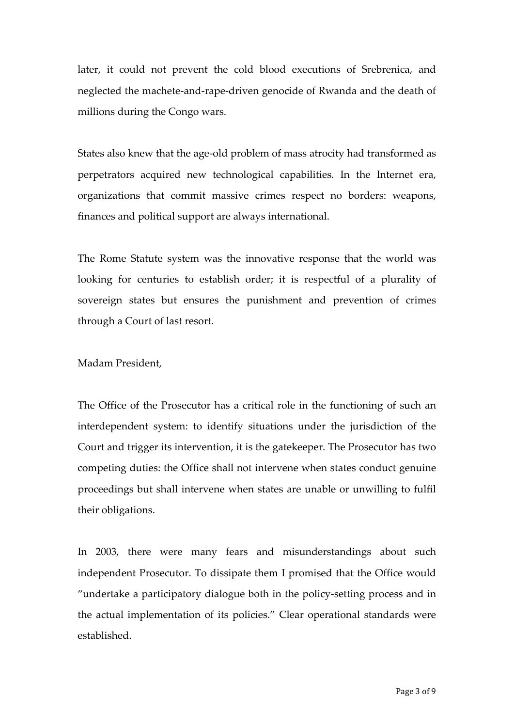later, it could not prevent the cold blood executions of Srebrenica, and neglected the machete-and-rape-driven genocide of Rwanda and the death of millions during the Congo wars.

States also knew that the age-old problem of mass atrocity had transformed as perpetrators acquired new technological capabilities. In the Internet era, organizations that commit massive crimes respect no borders: weapons, finances and political support are always international.

The Rome Statute system was the innovative response that the world was looking for centuries to establish order; it is respectful of a plurality of sovereign states but ensures the punishment and prevention of crimes through a Court of last resort.

## Madam President,

The Office of the Prosecutor has a critical role in the functioning of such an interdependent system: to identify situations under the jurisdiction of the Court and trigger its intervention, it is the gatekeeper. The Prosecutor has two competing duties: the Office shall not intervene when states conduct genuine proceedings but shall intervene when states are unable or unwilling to fulfil their obligations.

In 2003, there were many fears and misunderstandings about such independent Prosecutor. To dissipate them I promised that the Office would "undertake a participatory dialogue both in the policy-setting process and in the actual implementation of its policies." Clear operational standards were established.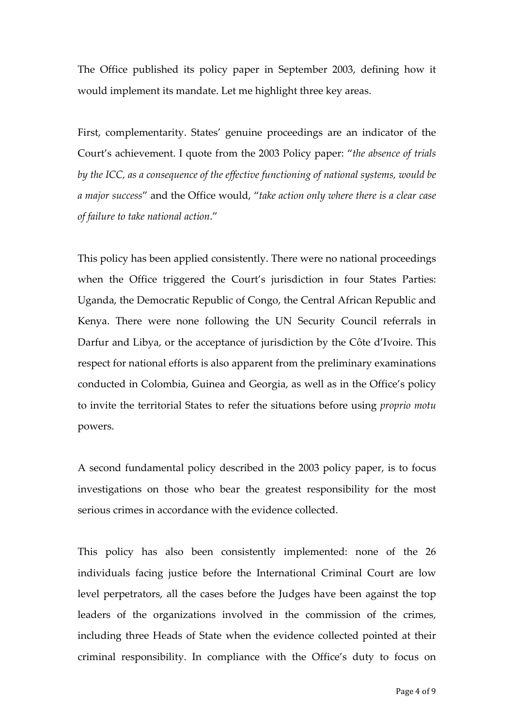The Office published its policy paper in September 2003, defining how it would implement its mandate. Let me highlight three key areas.

First, complementarity. States' genuine proceedings are an indicator of the Court^s achievement. I quote from the 2003 Policy paper: Y*the absence of trials by the ICC, as a consequence of the effective functioning of national systems, would be a major success*Z and the Office would, Y*take action only where there is a clear case of failure to take national action*.Z

This policy has been applied consistently. There were no national proceedings when the Office triggered the Court's jurisdiction in four States Parties: Uganda, the Democratic Republic of Congo, the Central African Republic and Kenya. There were none following the UN Security Council referrals in Darfur and Libya, or the acceptance of jurisdiction by the Côte d'Ivoire. This respect for national efforts is also apparent from the preliminary examinations conducted in Colombia, Guinea and Georgia, as well as in the Office^s policy to invite the territorial States to refer the situations before using *proprio motu* powers.

A second fundamental policy described in the 2003 policy paper, is to focus investigations on those who bear the greatest responsibility for the most serious crimes in accordance with the evidence collected.

This policy has also been consistently implemented: none of the 26 individuals facing justice before the International Criminal Court are low level perpetrators, all the cases before the Judges have been against the top leaders of the organizations involved in the commission of the crimes, including three Heads of State when the evidence collected pointed at their criminal responsibility. In compliance with the Office^s duty to focus on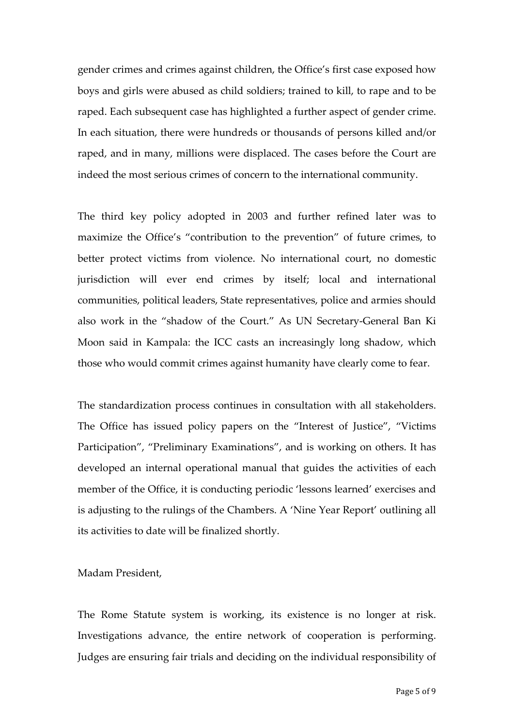gender crimes and crimes against children, the Office's first case exposed how boys and girls were abused as child soldiers; trained to kill, to rape and to be raped. Each subsequent case has highlighted a further aspect of gender crime. In each situation, there were hundreds or thousands of persons killed and/or raped, and in many, millions were displaced. The cases before the Court are indeed the most serious crimes of concern to the international community.

The third key policy adopted in 2003 and further refined later was to maximize the Office's "contribution to the prevention" of future crimes, to better protect victims from violence. No international court, no domestic jurisdiction will ever end crimes by itself; local and international communities, political leaders, State representatives, police and armies should also work in the "shadow of the Court." As UN Secretary-General Ban Ki Moon said in Kampala: the ICC casts an increasingly long shadow, which those who would commit crimes against humanity have clearly come to fear.

The standardization process continues in consultation with all stakeholders. The Office has issued policy papers on the "Interest of Justice", "Victims Participation", "Preliminary Examinations", and is working on others. It has developed an internal operational manual that guides the activities of each member of the Office, it is conducting periodic 'lessons learned' exercises and is adjusting to the rulings of the Chambers. A 'Nine Year Report' outlining all its activities to date will be finalized shortly.

Madam President,

The Rome Statute system is working, its existence is no longer at risk. Investigations advance, the entire network of cooperation is performing. Judges are ensuring fair trials and deciding on the individual responsibility of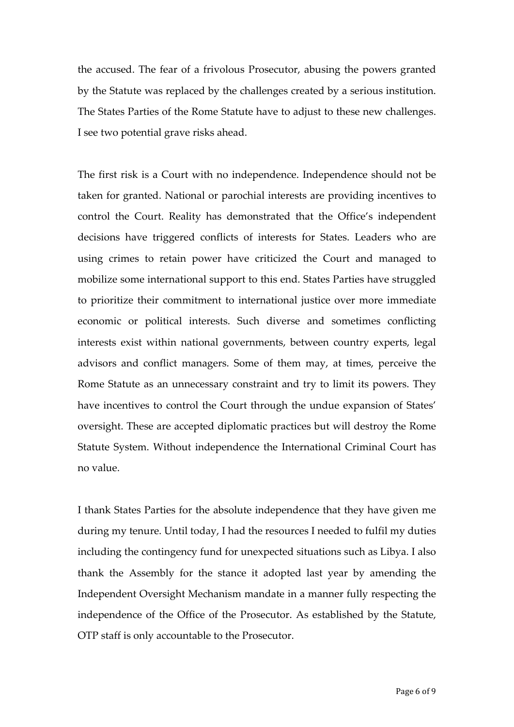the accused. The fear of a frivolous Prosecutor, abusing the powers granted by the Statute was replaced by the challenges created by a serious institution. The States Parties of the Rome Statute have to adjust to these new challenges. I see two potential grave risks ahead.

The first risk is a Court with no independence. Independence should not be taken for granted. National or parochial interests are providing incentives to control the Court. Reality has demonstrated that the Office's independent decisions have triggered conflicts of interests for States. Leaders who are using crimes to retain power have criticized the Court and managed to mobilize some international support to this end. States Parties have struggled to prioritize their commitment to international justice over more immediate economic or political interests. Such diverse and sometimes conflicting interests exist within national governments, between country experts, legal advisors and conflict managers. Some of them may, at times, perceive the Rome Statute as an unnecessary constraint and try to limit its powers. They have incentives to control the Court through the undue expansion of States' oversight. These are accepted diplomatic practices but will destroy the Rome Statute System. Without independence the International Criminal Court has no value.

I thank States Parties for the absolute independence that they have given me during my tenure. Until today, I had the resources I needed to fulfil my duties including the contingency fund for unexpected situations such as Libya. I also thank the Assembly for the stance it adopted last year by amending the Independent Oversight Mechanism mandate in a manner fully respecting the independence of the Office of the Prosecutor. As established by the Statute, OTP staff is only accountable to the Prosecutor.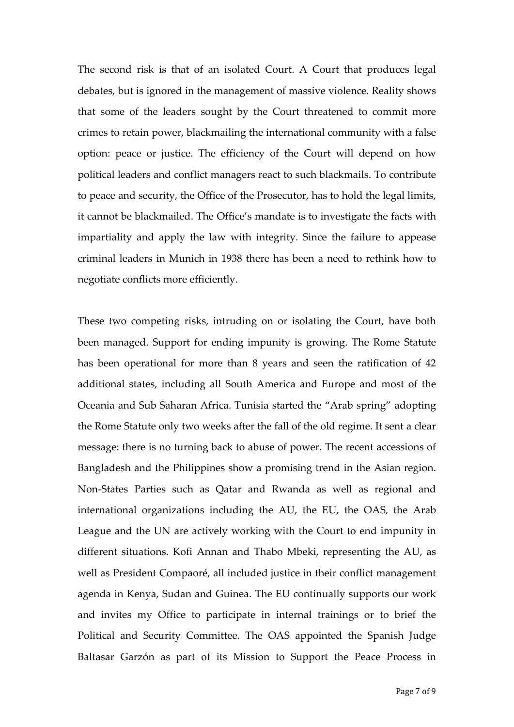The second risk is that of an isolated Court. A Court that produces legal debates, but is ignored in the management of massive violence. Reality shows that some of the leaders sought by the Court threatened to commit more crimes to retain power, blackmailing the international community with a false option: peace or justice. The efficiency of the Court will depend on how political leaders and conflict managers react to such blackmails. To contribute to peace and security, the Office of the Prosecutor, has to hold the legal limits, it cannot be blackmailed. The Office's mandate is to investigate the facts with impartiality and apply the law with integrity. Since the failure to appease criminal leaders in Munich in 1938 there has been a need to rethink how to negotiate conflicts more efficiently.

These two competing risks, intruding on or isolating the Court, have both been managed. Support for ending impunity is growing. The Rome Statute has been operational for more than 8 years and seen the ratification of 42 additional states, including all South America and Europe and most of the Oceania and Sub Saharan Africa. Tunisia started the "Arab spring" adopting the Rome Statute only two weeks after the fall of the old regime. It sent a clear message: there is no turning back to abuse of power. The recent accessions of Bangladesh and the Philippines show a promising trend in the Asian region. Non-States Parties such as Qatar and Rwanda as well as regional and international organizations including the AU, the EU, the OAS, the Arab League and the UN are actively working with the Court to end impunity in different situations. Kofi Annan and Thabo Mbeki, representing the AU, as well as President Compaoré, all included justice in their conflict management agenda in Kenya, Sudan and Guinea. The EU continually supports our work and invites my Office to participate in internal trainings or to brief the Political and Security Committee. The OAS appointed the Spanish Judge Baltasar Garzón as part of its Mission to Support the Peace Process in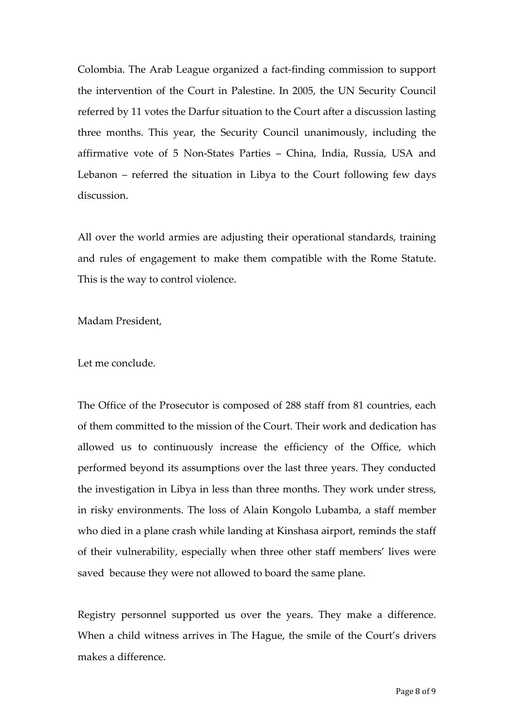Colombia. The Arab League organized a fact-finding commission to support the intervention of the Court in Palestine. In 2005, the UN Security Council referred by 11 votes the Darfur situation to the Court after a discussion lasting three months. This year, the Security Council unanimously, including the affirmative vote of 5 Non-States Parties - China, India, Russia, USA and Lebanon  $-$  referred the situation in Libya to the Court following few days discussion.ȱȱ

All over the world armies are adjusting their operational standards, training and rules of engagement to make them compatible with the Rome Statute. This is the way to control violence.

Madam President,

Let me conclude.

The Office of the Prosecutor is composed of 288 staff from 81 countries, each of them committed to the mission of the Court. Their work and dedication has allowed us to continuously increase the efficiency of the Office, which performed beyond its assumptions over the last three years. They conducted the investigation in Libya in less than three months. They work under stress, in risky environments. The loss of Alain Kongolo Lubamba, a staff member who died in a plane crash while landing at Kinshasa airport, reminds the staff of their vulnerability, especially when three other staff members^ lives were saved because they were not allowed to board the same plane.

Registry personnel supported us over the years. They make a difference. When a child witness arrives in The Hague, the smile of the Court's drivers makes a difference.